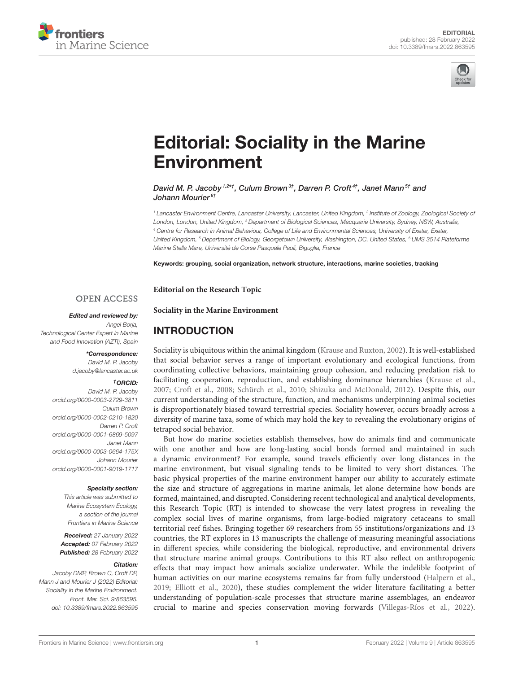



# [Editorial: Sociality in the Marine](https://www.frontiersin.org/articles/10.3389/fmars.2022.863595/full) Environment

David M. P. Jacoby 1,2\*†, Culum Brown 3†, Darren P. Croft <sup>4†</sup>, Janet Mann <sup>5†</sup> and Johann Mourier<sup>6†</sup>

<sup>1</sup> Lancaster Environment Centre, Lancaster University, Lancaster, United Kingdom, <sup>2</sup> Institute of Zoology, Zoological Society o*f* London, London, United Kingdom, <sup>3</sup> Department of Biological Sciences, Macquarie University, Sydney, NSW, Australia, <sup>4</sup> Centre for Research in Animal Behaviour, College of Life and Environmental Sciences, University of Exeter, Exeter, United Kingdom, <sup>5</sup> Department of Biology, Georgetown University, Washington, DC, United States, <sup>6</sup> UMS 3514 Plateforme Marine Stella Mare, Université de Corse Pasquale Paoli, Biguglia, France

Keywords: grouping, social organization, network structure, interactions, marine societies, tracking

**Editorial on the Research Topic**

INTRODUCTION

**[Sociality in the Marine Environment](https://www.frontiersin.org/research-topics/15283/sociality-in-the-marine-environment)**

#### **OPEN ACCESS**

Edited and reviewed by:

Angel Borja, Technological Center Expert in Marine and Food Innovation (AZTI), Spain

#### \*Correspondence:

David M. P. Jacoby [d.jacoby@lancaster.ac.uk](mailto:d.jacoby@lancaster.ac.uk)

#### †ORCID:

David M. P. Jacoby [orcid.org/0000-0003-2729-3811](https://orcid.org/0000-0003-2729-3811) Culum Brown [orcid.org/0000-0002-0210-1820](https://orcid.org/0000-0002-0210-1820) Darren P. Croft [orcid.org/0000-0001-6869-5097](https://orcid.org/0000-0001-6869-5097) Janet Mann [orcid.org/0000-0003-0664-175X](https://orcid.org/0000-0003-0664-175X) Johann Mourier [orcid.org/0000-0001-9019-1717](https://orcid.org/0000-0001-9019-1717)

#### Specialty section:

This article was submitted to Marine Ecosystem Ecology, a section of the journal Frontiers in Marine Science

Received: 27 January 2022 Accepted: 07 February 2022 Published: 28 February 2022

#### Citation:

Jacoby DMP, Brown C, Croft DP, Mann J and Mourier J (2022) Editorial: Sociality in the Marine Environment. Front. Mar. Sci. 9:863595. doi: [10.3389/fmars.2022.863595](https://doi.org/10.3389/fmars.2022.863595) Sociality is ubiquitous within the animal kingdom [\(Krause and Ruxton, 2002\)](#page-3-0). It is well-established that social behavior serves a range of important evolutionary and ecological functions, from coordinating collective behaviors, maintaining group cohesion, and reducing predation risk to facilitating cooperation, reproduction, and establishing dominance hierarchies [\(Krause et al.,](#page-3-1) [2007;](#page-3-1) [Croft et al., 2008;](#page-3-2) [Schürch et al., 2010;](#page-3-3) [Shizuka and McDonald, 2012\)](#page-3-4). Despite this, our current understanding of the structure, function, and mechanisms underpinning animal societies is disproportionately biased toward terrestrial species. Sociality however, occurs broadly across a diversity of marine taxa, some of which may hold the key to revealing the evolutionary origins of tetrapod social behavior.

But how do marine societies establish themselves, how do animals find and communicate with one another and how are long-lasting social bonds formed and maintained in such a dynamic environment? For example, sound travels efficiently over long distances in the marine environment, but visual signaling tends to be limited to very short distances. The basic physical properties of the marine environment hamper our ability to accurately estimate the size and structure of aggregations in marine animals, let alone determine how bonds are formed, maintained, and disrupted. Considering recent technological and analytical developments, this Research Topic (RT) is intended to showcase the very latest progress in revealing the complex social lives of marine organisms, from large-bodied migratory cetaceans to small territorial reef fishes. Bringing together 69 researchers from 55 institutions/organizations and 13 countries, the RT explores in 13 manuscripts the challenge of measuring meaningful associations in different species, while considering the biological, reproductive, and environmental drivers that structure marine animal groups. Contributions to this RT also reflect on anthropogenic effects that may impact how animals socialize underwater. While the indelible footprint of human activities on our marine ecosystems remains far from fully understood [\(Halpern et al.,](#page-3-5) [2019;](#page-3-5) [Elliott et al., 2020\)](#page-3-6), these studies complement the wider literature facilitating a better understanding of population-scale processes that structure marine assemblages, an endeavor crucial to marine and species conservation moving forwards [\(Villegas-Ríos et al., 2022\)](#page-3-7).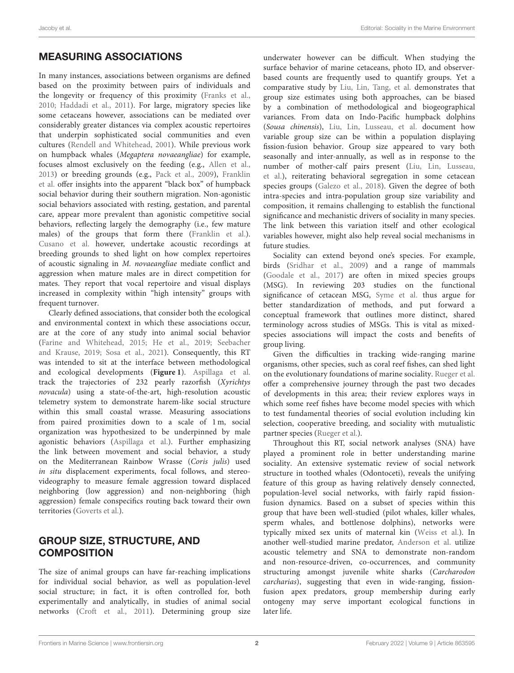## MEASURING ASSOCIATIONS

In many instances, associations between organisms are defined based on the proximity between pairs of individuals and the longevity or frequency of this proximity [\(Franks et al.,](#page-3-8) [2010;](#page-3-8) [Haddadi et al., 2011\)](#page-3-9). For large, migratory species like some cetaceans however, associations can be mediated over considerably greater distances via complex acoustic repertoires that underpin sophisticated social communities and even cultures [\(Rendell and Whitehead, 2001\)](#page-3-10). While previous work on humpback whales (Megaptera novaeangliae) for example, focuses almost exclusively on the feeding (e.g., [Allen et al.,](#page-3-11) [2013\)](#page-3-11) or breeding grounds (e.g., [Pack et al., 2009\)](#page-3-12), Franklin et al. [offer insights into the apparent "black box" of humpback](https://doi.org/10.3389/fmars.2021.652147) social behavior during their southern migration. Non-agonistic social behaviors associated with resting, gestation, and parental care, appear more prevalent than agonistic competitive social behaviors, reflecting largely the demography (i.e., few mature males) of the groups that form there [\(Franklin et al.\)](https://doi.org/10.3389/fmars.2021.652147). [Cusano et al.](https://doi.org/10.3389/fmars.2021.665186) however, undertake acoustic recordings at breeding grounds to shed light on how complex repertoires of acoustic signaling in M. novaeangliae mediate conflict and aggression when mature males are in direct competition for mates. They report that vocal repertoire and visual displays increased in complexity within "high intensity" groups with frequent turnover.

Clearly defined associations, that consider both the ecological and environmental context in which these associations occur, are at the core of any study into animal social behavior [\(Farine and Whitehead, 2015;](#page-3-13) [He et al., 2019;](#page-3-14) Seebacher and Krause, [2019;](#page-3-15) [Sosa et al., 2021\)](#page-3-16). Consequently, this RT was intended to sit at the interface between methodological and ecological developments (**[Figure 1](#page-2-0)**). [Aspillaga et al.](https://doi.org/10.3389/fmars.2021.688010) track the trajectories of 232 pearly razorfish (Xyrichtys novacula) using a state-of-the-art, high-resolution acoustic telemetry system to demonstrate harem-like social structure within this small coastal wrasse. Measuring associations from paired proximities down to a scale of 1 m, social organization was hypothesized to be underpinned by male agonistic behaviors [\(Aspillaga et al.\)](https://doi.org/10.3389/fmars.2021.688010). Further emphasizing the link between movement and social behavior, a study on the Mediterranean Rainbow Wrasse (Coris julis) used in situ displacement experiments, focal follows, and stereovideography to measure female aggression toward displaced neighboring (low aggression) and non-neighboring (high aggression) female conspecifics routing back toward their own territories [\(Goverts et al.\)](https://doi.org/10.3389/fmars.2021.695100).

## GROUP SIZE, STRUCTURE, AND **COMPOSITION**

The size of animal groups can have far-reaching implications for individual social behavior, as well as population-level social structure; in fact, it is often controlled for, both experimentally and analytically, in studies of animal social networks [\(Croft et al., 2011\)](#page-3-17). Determining group size underwater however can be difficult. When studying the surface behavior of marine cetaceans, photo ID, and observerbased counts are frequently used to quantify groups. Yet a comparative study by [Liu, Lin, Tang, et al.](https://doi.org/10.3389/fmars.2021.655595) demonstrates that group size estimates using both approaches, can be biased by a combination of methodological and biogeographical variances. From data on Indo-Pacific humpback dolphins (Sousa chinensis), [Liu, Lin, Lusseau, et al.](https://doi.org/10.3389/fmars.2021.671568) document how variable group size can be within a population displaying fission-fusion behavior. Group size appeared to vary both seasonally and inter-annually, as well as in response to the number of mother-calf pairs present (Liu, Lin, Lusseau, [et al.\), reiterating behavioral segregation in some cetacean](https://doi.org/10.3389/fmars.2021.671568) species groups [\(Galezo et al., 2018\)](#page-3-18). Given the degree of both intra-species and intra-population group size variability and composition, it remains challenging to establish the functional significance and mechanistic drivers of sociality in many species. The link between this variation itself and other ecological variables however, might also help reveal social mechanisms in future studies.

Sociality can extend beyond one's species. For example, birds [\(Sridhar et al., 2009\)](#page-3-19) and a range of mammals [\(Goodale et al., 2017\)](#page-3-20) are often in mixed species groups (MSG). In reviewing 203 studies on the functional significance of cetacean MSG, [Syme et al.](https://doi.org/10.3389/fmars.2021.678173) thus argue for better standardization of methods, and put forward a conceptual framework that outlines more distinct, shared terminology across studies of MSGs. This is vital as mixedspecies associations will impact the costs and benefits of group living.

Given the difficulties in tracking wide-ranging marine organisms, other species, such as coral reef fishes, can shed light on the evolutionary foundations of marine sociality. [Rueger et al.](https://doi.org/10.3389/fmars.2021.665780) offer a comprehensive journey through the past two decades of developments in this area; their review explores ways in which some reef fishes have become model species with which to test fundamental theories of social evolution including kin selection, cooperative breeding, and sociality with mutualistic partner species [\(Rueger et al.\)](https://doi.org/10.3389/fmars.2021.665780).

Throughout this RT, social network analyses (SNA) have played a prominent role in better understanding marine sociality. An extensive systematic review of social network structure in toothed whales (Odontoceti), reveals the unifying feature of this group as having relatively densely connected, population-level social networks, with fairly rapid fissionfusion dynamics. Based on a subset of species within this group that have been well-studied (pilot whales, killer whales, sperm whales, and bottlenose dolphins), networks were typically mixed sex units of maternal kin [\(Weiss et al.\)](https://doi.org/10.3389/fmars.2021.688842). In another well-studied marine predator, [Anderson et al.](https://doi.org/10.3389/fmars.2021.688505) utilize acoustic telemetry and SNA to demonstrate non-random and non-resource-driven, co-occurrences, and community structuring amongst juvenile white sharks (Carcharodon carcharias), suggesting that even in wide-ranging, fissionfusion apex predators, group membership during early ontogeny may serve important ecological functions in later life.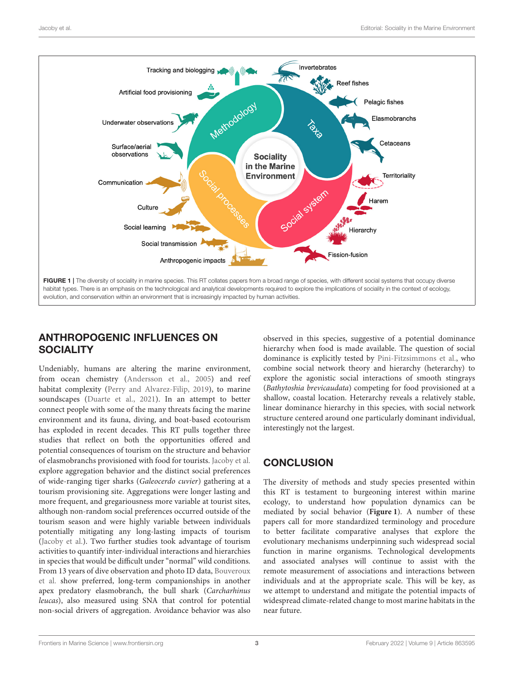

## <span id="page-2-0"></span>ANTHROPOGENIC INFLUENCES ON **SOCIALITY**

Undeniably, humans are altering the marine environment, from ocean chemistry [\(Andersson et al., 2005\)](#page-3-21) and reef habitat complexity [\(Perry and Alvarez-Filip, 2019\)](#page-3-22), to marine soundscapes [\(Duarte et al., 2021\)](#page-3-23). In an attempt to better connect people with some of the many threats facing the marine environment and its fauna, diving, and boat-based ecotourism has exploded in recent decades. This RT pulls together three studies that reflect on both the opportunities offered and potential consequences of tourism on the structure and behavior of elasmobranchs provisioned with food for tourists. [Jacoby et al.](https://doi.org/10.3389/fmars.2021.665726) explore aggregation behavior and the distinct social preferences of wide-ranging tiger sharks (Galeocerdo cuvier) gathering at a tourism provisioning site. Aggregations were longer lasting and more frequent, and gregariousness more variable at tourist sites, although non-random social preferences occurred outside of the tourism season and were highly variable between individuals potentially mitigating any long-lasting impacts of tourism [\(Jacoby et al.\)](https://doi.org/10.3389/fmars.2021.665726). Two further studies took advantage of tourism activities to quantify inter-individual interactions and hierarchies in species that would be difficult under "normal" wild conditions. From 13 years of dive observation and photo ID data, Bouveroux et al. [show preferred, long-term companionships in another](https://doi.org/10.3389/fmars.2021.678074) apex predatory elasmobranch, the bull shark (Carcharhinus leucas), also measured using SNA that control for potential non-social drivers of aggregation. Avoidance behavior was also

observed in this species, suggestive of a potential dominance hierarchy when food is made available. The question of social dominance is explicitly tested by [Pini-Fitzsimmons et al.,](https://doi.org/10.3389/fmars.2021.641761) who combine social network theory and hierarchy (heterarchy) to explore the agonistic social interactions of smooth stingrays (Bathytoshia brevicaudata) competing for food provisioned at a shallow, coastal location. Heterarchy reveals a relatively stable, linear dominance hierarchy in this species, with social network structure centered around one particularly dominant individual, interestingly not the largest.

# **CONCLUSION**

The diversity of methods and study species presented within this RT is testament to burgeoning interest within marine ecology, to understand how population dynamics can be mediated by social behavior (**[Figure 1](#page-2-0)**). A number of these papers call for more standardized terminology and procedure to better facilitate comparative analyses that explore the evolutionary mechanisms underpinning such widespread social function in marine organisms. Technological developments and associated analyses will continue to assist with the remote measurement of associations and interactions between individuals and at the appropriate scale. This will be key, as we attempt to understand and mitigate the potential impacts of widespread climate-related change to most marine habitats in the near future.